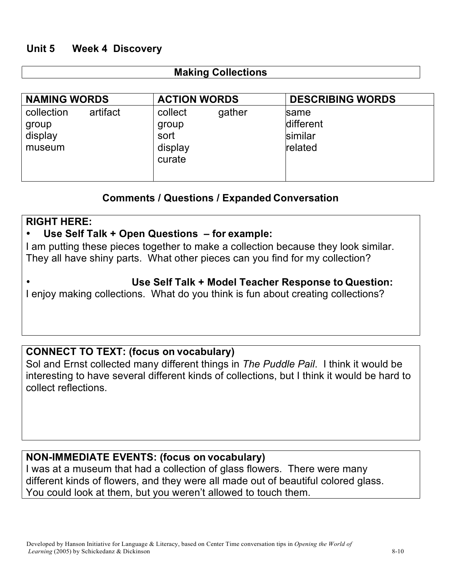# **Unit 5 Week 4 Discovery**

## **Making Collections**

| <b>NAMING WORDS</b>                                  | <b>ACTION WORDS</b>                                     | <b>DESCRIBING WORDS</b>                 |
|------------------------------------------------------|---------------------------------------------------------|-----------------------------------------|
| collection<br>artifact<br>group<br>display<br>museum | collect<br>gather<br>group<br>sort<br>display<br>curate | same<br>different<br>similar<br>related |

## **Comments / Questions / Expanded Conversation**

## **RIGHT HERE:**

## • **Use Self Talk + Open Questions – for example:**

I am putting these pieces together to make a collection because they look similar. They all have shiny parts. What other pieces can you find for my collection?

## **Use Self Talk + Model Teacher Response to Question:**

I enjoy making collections. What do you think is fun about creating collections?

## **CONNECT TO TEXT: (focus on vocabulary)**

Sol and Ernst collected many different things in *The Puddle Pail*. I think it would be interesting to have several different kinds of collections, but I think it would be hard to collect reflections.

## **NON-IMMEDIATE EVENTS: (focus on vocabulary)**

I was at a museum that had a collection of glass flowers. There were many different kinds of flowers, and they were all made out of beautiful colored glass. You could look at them, but you weren't allowed to touch them.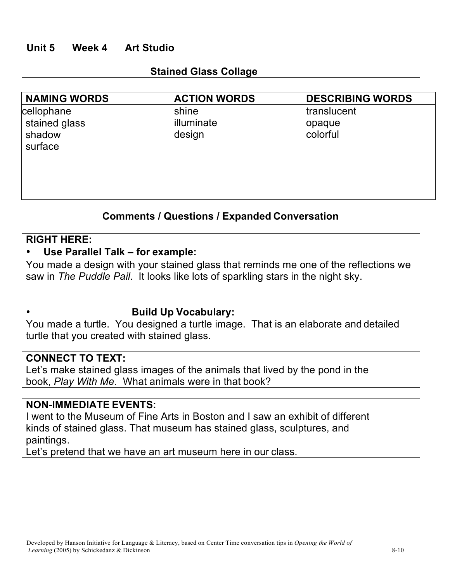# **Unit 5 Week 4 Art Studio**

#### **Stained Glass Collage**

| <b>NAMING WORDS</b>                              | <b>ACTION WORDS</b>           | <b>DESCRIBING WORDS</b>           |
|--------------------------------------------------|-------------------------------|-----------------------------------|
| cellophane<br>stained glass<br>shadow<br>surface | shine<br>illuminate<br>design | translucent<br>opaque<br>colorful |

# **Comments / Questions / Expanded Conversation**

#### **RIGHT HERE:**

## • **Use Parallel Talk – for example:**

You made a design with your stained glass that reminds me one of the reflections we saw in *The Puddle Pail*. It looks like lots of sparkling stars in the night sky.

#### **Build Up Vocabulary:**

You made a turtle. You designed a turtle image. That is an elaborate and detailed turtle that you created with stained glass.

## **CONNECT TO TEXT:**

Let's make stained glass images of the animals that lived by the pond in the book, *Play With Me.* What animals were in that book?

#### **NON-IMMEDIATE EVENTS:**

I went to the Museum of Fine Arts in Boston and I saw an exhibit of different kinds of stained glass. That museum has stained glass, sculptures, and paintings.

Let's pretend that we have an art museum here in our class.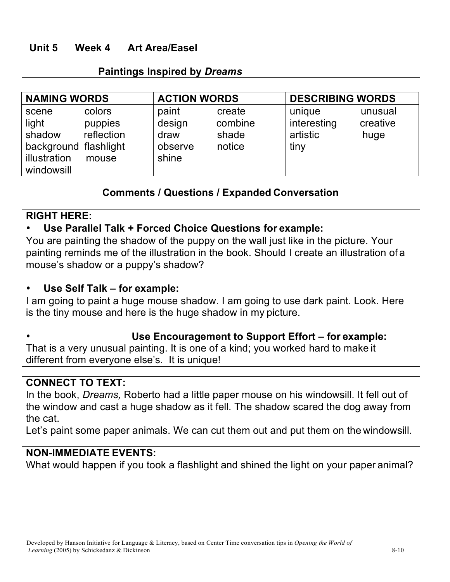# **Unit 5 Week 4 Art Area/Easel**

## **Paintings Inspired by** *Dreams*

| <b>NAMING WORDS</b>                                                             |                                          | <b>ACTION WORDS</b>                         |                                      | <b>DESCRIBING WORDS</b>                   |                             |
|---------------------------------------------------------------------------------|------------------------------------------|---------------------------------------------|--------------------------------------|-------------------------------------------|-----------------------------|
| scene<br>light<br>shadow<br>background flashlight<br>illustration<br>windowsill | colors<br>puppies<br>reflection<br>mouse | paint<br>design<br>draw<br>observe<br>shine | create<br>combine<br>shade<br>notice | unique<br>interesting<br>artistic<br>tiny | unusual<br>creative<br>huge |

## **Comments / Questions / Expanded Conversation**

## **RIGHT HERE:**

# • **Use Parallel Talk + Forced Choice Questions for example:**

You are painting the shadow of the puppy on the wall just like in the picture. Your painting reminds me of the illustration in the book. Should I create an illustration of a mouse's shadow or a puppy's shadow?

# • **Use Self Talk – for example:**

I am going to paint a huge mouse shadow. I am going to use dark paint. Look. Here is the tiny mouse and here is the huge shadow in my picture.

## **Use Encouragement to Support Effort – for example:**

That is a very unusual painting. It is one of a kind; you worked hard to make it different from everyone else's. It is unique!

## **CONNECT TO TEXT:**

In the book, *Dreams,* Roberto had a little paper mouse on his windowsill. It fell out of the window and cast a huge shadow as it fell. The shadow scared the dog away from the cat.

Let's paint some paper animals. We can cut them out and put them on the windowsill.

## **NON-IMMEDIATE EVENTS:**

What would happen if you took a flashlight and shined the light on your paper animal?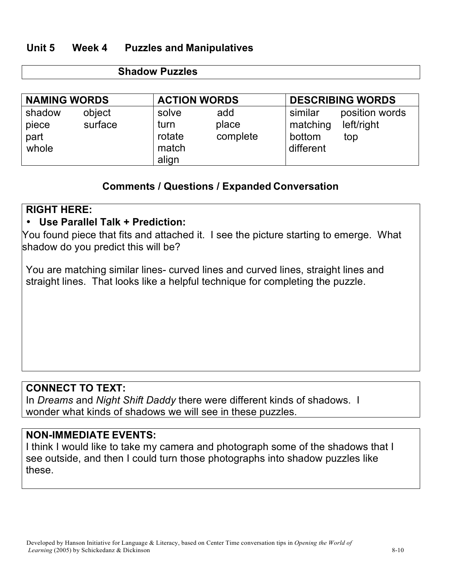# **Unit 5 Week 4 Puzzles and Manipulatives**

#### **Shadow Puzzles**

| <b>NAMING WORDS</b>              |                   | <b>ACTION WORDS</b>                       |                          | <b>DESCRIBING WORDS</b>                    |                                     |
|----------------------------------|-------------------|-------------------------------------------|--------------------------|--------------------------------------------|-------------------------------------|
| shadow<br>piece<br>part<br>whole | object<br>surface | solve<br>turn<br>rotate<br>match<br>align | add<br>place<br>complete | similar<br>matching<br>bottom<br>different | position words<br>left/right<br>top |

## **Comments / Questions / Expanded Conversation**

## **RIGHT HERE:**

# • **Use Parallel Talk + Prediction:**

You found piece that fits and attached it. I see the picture starting to emerge. What shadow do you predict this will be?

You are matching similar lines- curved lines and curved lines, straight lines and straight lines. That looks like a helpful technique for completing the puzzle.

# **CONNECT TO TEXT:**

In *Dreams* and *Night Shift Daddy* there were different kinds of shadows. I wonder what kinds of shadows we will see in these puzzles.

## **NON-IMMEDIATE EVENTS:**

I think I would like to take my camera and photograph some of the shadows that I see outside, and then I could turn those photographs into shadow puzzles like these.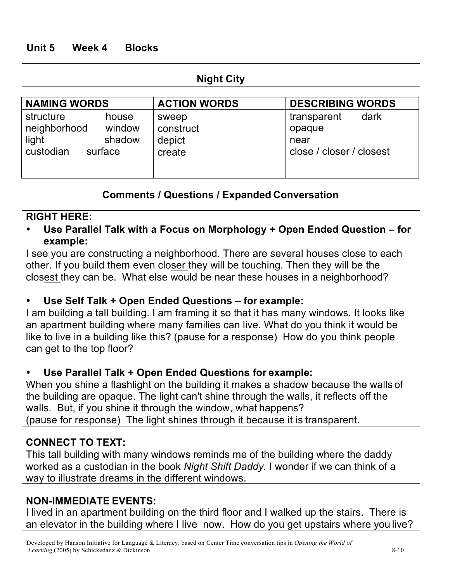# **Unit 5 Week 4 Blocks**

#### **Night City**

| <b>NAMING WORDS</b>                                                                     | <b>ACTION WORDS</b>                    | <b>DESCRIBING WORDS</b>                                           |
|-----------------------------------------------------------------------------------------|----------------------------------------|-------------------------------------------------------------------|
| structure<br>house<br>window<br>neighborhood<br>light<br>shadow<br>custodian<br>surface | sweep<br>construct<br>depict<br>create | transparent<br>dark<br>opaque<br>near<br>close / closer / closest |

# **Comments / Questions / Expanded Conversation**

#### **RIGHT HERE:**

• **Use Parallel Talk with a Focus on Morphology + Open Ended Question – for example:**

I see you are constructing a neighborhood. There are several houses close to each other. If you build them even closer they will be touching. Then they will be the closest they can be. What else would be near these houses in a neighborhood?

## • **Use Self Talk + Open Ended Questions – for example:**

I am building a tall building. I am framing it so that it has many windows. It looks like an apartment building where many families can live. What do you think it would be like to live in a building like this? (pause for a response) How do you think people can get to the top floor?

#### • **Use Parallel Talk + Open Ended Questions for example:**

When you shine a flashlight on the building it makes a shadow because the walls of the building are opaque. The light can't shine through the walls, it reflects off the walls. But, if you shine it through the window, what happens? (pause for response) The light shines through it because it is transparent.

# **CONNECT TO TEXT:**

This tall building with many windows reminds me of the building where the daddy worked as a custodian in the book *Night Shift Daddy*. I wonder if we can think of a way to illustrate dreams in the different windows.

## **NON-IMMEDIATE EVENTS:**

I lived in an apartment building on the third floor and I walked up the stairs. There is an elevator in the building where I live now. How do you get upstairs where you live?